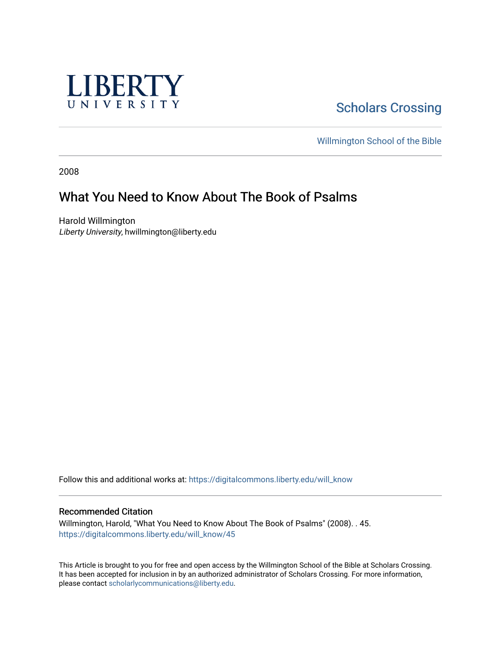

**Scholars Crossing** 

[Willmington School of the Bible](https://digitalcommons.liberty.edu/will_bible) 

2008

# What You Need to Know About The Book of Psalms

Harold Willmington Liberty University, hwillmington@liberty.edu

Follow this and additional works at: [https://digitalcommons.liberty.edu/will\\_know](https://digitalcommons.liberty.edu/will_know?utm_source=digitalcommons.liberty.edu%2Fwill_know%2F45&utm_medium=PDF&utm_campaign=PDFCoverPages)

#### Recommended Citation

Willmington, Harold, "What You Need to Know About The Book of Psalms" (2008). . 45. [https://digitalcommons.liberty.edu/will\\_know/45](https://digitalcommons.liberty.edu/will_know/45?utm_source=digitalcommons.liberty.edu%2Fwill_know%2F45&utm_medium=PDF&utm_campaign=PDFCoverPages) 

This Article is brought to you for free and open access by the Willmington School of the Bible at Scholars Crossing. It has been accepted for inclusion in by an authorized administrator of Scholars Crossing. For more information, please contact [scholarlycommunications@liberty.edu.](mailto:scholarlycommunications@liberty.edu)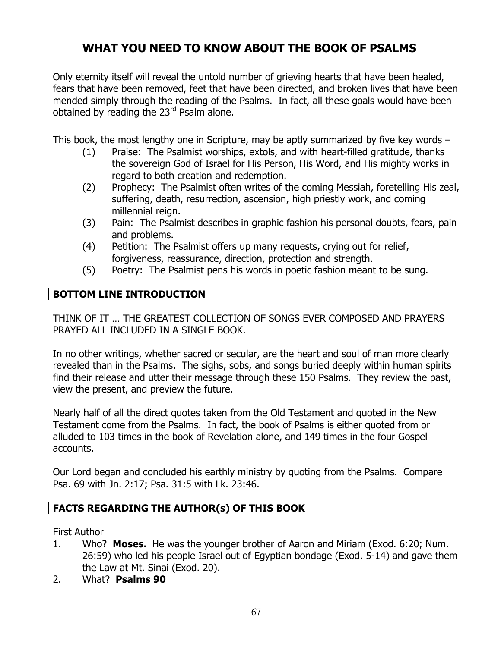# WHAT YOU NEED TO KNOW ABOUT THE BOOK OF PSALMS

Only eternity itself will reveal the untold number of grieving hearts that have been healed, fears that have been removed, feet that have been directed, and broken lives that have been mended simply through the reading of the Psalms. In fact, all these goals would have been obtained by reading the 23<sup>rd</sup> Psalm alone.

This book, the most lengthy one in Scripture, may be aptly summarized by five key words –

- (1) Praise: The Psalmist worships, extols, and with heart-filled gratitude, thanks the sovereign God of Israel for His Person, His Word, and His mighty works in regard to both creation and redemption.
- (2) Prophecy: The Psalmist often writes of the coming Messiah, foretelling His zeal, suffering, death, resurrection, ascension, high priestly work, and coming millennial reign.
- (3) Pain: The Psalmist describes in graphic fashion his personal doubts, fears, pain and problems.
- (4) Petition: The Psalmist offers up many requests, crying out for relief, forgiveness, reassurance, direction, protection and strength.
- (5) Poetry: The Psalmist pens his words in poetic fashion meant to be sung.

# BOTTOM LINE INTRODUCTION

THINK OF IT … THE GREATEST COLLECTION OF SONGS EVER COMPOSED AND PRAYERS PRAYED ALL INCLUDED IN A SINGLE BOOK.

In no other writings, whether sacred or secular, are the heart and soul of man more clearly revealed than in the Psalms. The sighs, sobs, and songs buried deeply within human spirits find their release and utter their message through these 150 Psalms. They review the past, view the present, and preview the future.

Nearly half of all the direct quotes taken from the Old Testament and quoted in the New Testament come from the Psalms. In fact, the book of Psalms is either quoted from or alluded to 103 times in the book of Revelation alone, and 149 times in the four Gospel accounts.

Our Lord began and concluded his earthly ministry by quoting from the Psalms. Compare Psa. 69 with Jn. 2:17; Psa. 31:5 with Lk. 23:46.

# FACTS REGARDING THE AUTHOR(s) OF THIS BOOK

#### First Author

- 1. Who? Moses. He was the younger brother of Aaron and Miriam (Exod. 6:20; Num. 26:59) who led his people Israel out of Egyptian bondage (Exod. 5-14) and gave them the Law at Mt. Sinai (Exod. 20).
- 2. What? Psalms 90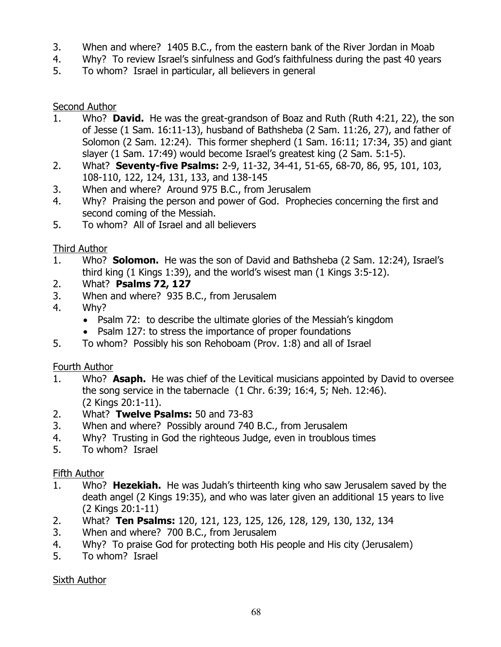- 3. When and where? 1405 B.C., from the eastern bank of the River Jordan in Moab
- 4. Why? To review Israel's sinfulness and God's faithfulness during the past 40 years
- 5. To whom? Israel in particular, all believers in general

### Second Author

- 1. Who? David. He was the great-grandson of Boaz and Ruth (Ruth 4:21, 22), the son of Jesse (1 Sam. 16:11-13), husband of Bathsheba (2 Sam. 11:26, 27), and father of Solomon (2 Sam. 12:24). This former shepherd (1 Sam. 16:11; 17:34, 35) and giant slayer (1 Sam. 17:49) would become Israel's greatest king (2 Sam. 5:1-5).
- 2. What? **Seventy-five Psalms:** 2-9, 11-32, 34-41, 51-65, 68-70, 86, 95, 101, 103, 108-110, 122, 124, 131, 133, and 138-145
- 3. When and where? Around 975 B.C., from Jerusalem
- 4. Why? Praising the person and power of God. Prophecies concerning the first and second coming of the Messiah.
- 5. To whom? All of Israel and all believers

### Third Author

- 1. Who? **Solomon.** He was the son of David and Bathsheba (2 Sam. 12:24), Israel's third king (1 Kings 1:39), and the world's wisest man (1 Kings 3:5-12).
- 2. What? Psalms 72, 127
- 3. When and where? 935 B.C., from Jerusalem
- 4. Why?
	- Psalm 72: to describe the ultimate glories of the Messiah's kingdom
	- Psalm 127: to stress the importance of proper foundations
- 5. To whom? Possibly his son Rehoboam (Prov. 1:8) and all of Israel

# Fourth Author

- 1. Who? **Asaph.** He was chief of the Levitical musicians appointed by David to oversee the song service in the tabernacle (1 Chr. 6:39; 16:4, 5; Neh. 12:46). (2 Kings 20:1-11).
- 2. What? Twelve Psalms: 50 and 73-83
- 3. When and where? Possibly around 740 B.C., from Jerusalem
- 4. Why? Trusting in God the righteous Judge, even in troublous times
- 5. To whom? Israel

# Fifth Author

- 1. Who? Hezekiah. He was Judah's thirteenth king who saw Jerusalem saved by the death angel (2 Kings 19:35), and who was later given an additional 15 years to live (2 Kings 20:1-11)
- 2. What? Ten Psalms: 120, 121, 123, 125, 126, 128, 129, 130, 132, 134
- 3. When and where? 700 B.C., from Jerusalem
- 4. Why? To praise God for protecting both His people and His city (Jerusalem)
- 5. To whom? Israel

#### Sixth Author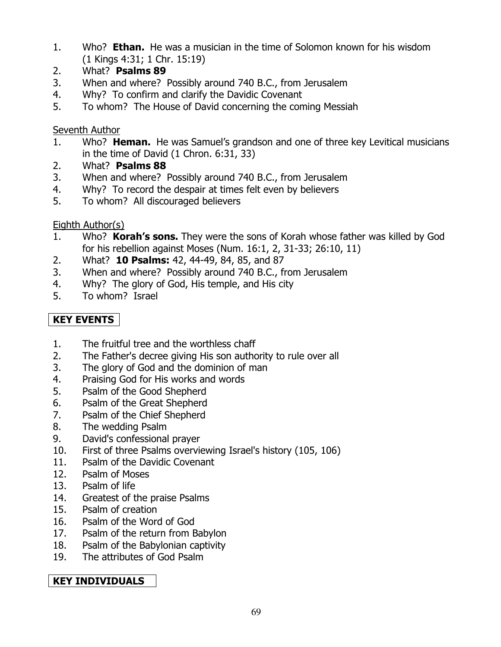- 1. Who? **Ethan.** He was a musician in the time of Solomon known for his wisdom (1 Kings 4:31; 1 Chr. 15:19)
- 2. What? Psalms 89
- 3. When and where? Possibly around 740 B.C., from Jerusalem
- 4. Why? To confirm and clarify the Davidic Covenant
- 5. To whom? The House of David concerning the coming Messiah

### Seventh Author

- 1. Who? **Heman.** He was Samuel's grandson and one of three key Levitical musicians in the time of David (1 Chron. 6:31, 33)
- 2. What? Psalms 88
- 3. When and where? Possibly around 740 B.C., from Jerusalem
- 4. Why? To record the despair at times felt even by believers
- 5. To whom? All discouraged believers

# Eighth Author(s)

- 1. Who? **Korah's sons.** They were the sons of Korah whose father was killed by God for his rebellion against Moses (Num. 16:1, 2, 31-33; 26:10, 11)
- 2. What? **10 Psalms:** 42, 44-49, 84, 85, and 87
- 3. When and where? Possibly around 740 B.C., from Jerusalem
- 4. Why? The glory of God, His temple, and His city
- 5. To whom? Israel

# KEY EVENTS

- 1. The fruitful tree and the worthless chaff
- 2. The Father's decree giving His son authority to rule over all
- 3. The glory of God and the dominion of man
- 4. Praising God for His works and words
- 5. Psalm of the Good Shepherd
- 6. Psalm of the Great Shepherd
- 7. Psalm of the Chief Shepherd
- 8. The wedding Psalm
- 9. David's confessional prayer
- 10. First of three Psalms overviewing Israel's history (105, 106)
- 11. Psalm of the Davidic Covenant
- 12. Psalm of Moses
- 13. Psalm of life
- 14. Greatest of the praise Psalms
- 15. Psalm of creation
- 16. Psalm of the Word of God
- 17. Psalm of the return from Babylon
- 18. Psalm of the Babylonian captivity
- 19. The attributes of God Psalm

# KEY INDIVIDUALS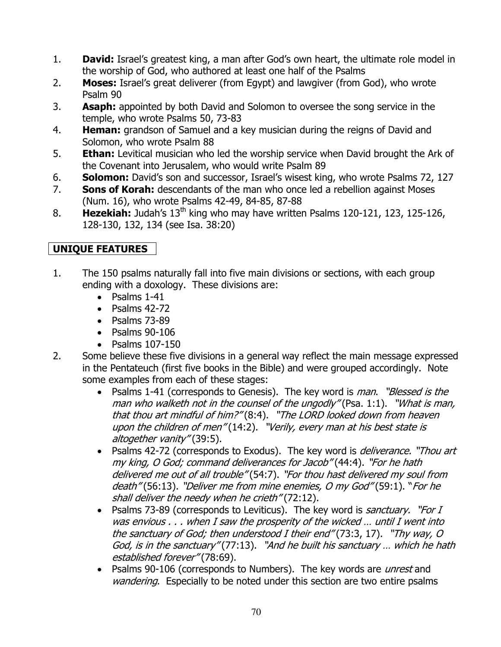- 1. **David:** Israel's greatest king, a man after God's own heart, the ultimate role model in the worship of God, who authored at least one half of the Psalms
- 2. **Moses:** Israel's great deliverer (from Egypt) and lawgiver (from God), who wrote Psalm 90
- 3. **Asaph:** appointed by both David and Solomon to oversee the song service in the temple, who wrote Psalms 50, 73-83
- 4. **Heman:** grandson of Samuel and a key musician during the reigns of David and Solomon, who wrote Psalm 88
- 5. **Ethan:** Levitical musician who led the worship service when David brought the Ark of the Covenant into Jerusalem, who would write Psalm 89
- 6. Solomon: David's son and successor, Israel's wisest king, who wrote Psalms 72, 127
- 7. Sons of Korah: descendants of the man who once led a rebellion against Moses (Num. 16), who wrote Psalms 42-49, 84-85, 87-88
- 8. **Hezekiah:** Judah's  $13<sup>th</sup>$  king who may have written Psalms 120-121, 123, 125-126, 128-130, 132, 134 (see Isa. 38:20)

# UNIQUE FEATURES

- 1. The 150 psalms naturally fall into five main divisions or sections, with each group ending with a doxology. These divisions are:
	- Psalms 1-41
	- Psalms 42-72
	- Psalms 73-89
	- Psalms 90-106
	- Psalms 107-150
- 2. Some believe these five divisions in a general way reflect the main message expressed in the Pentateuch (first five books in the Bible) and were grouped accordingly. Note some examples from each of these stages:
	- Psalms 1-41 (corresponds to Genesis). The key word is *man. "Blessed is the* man who walketh not in the counsel of the ungodly" (Psa. 1:1). "What is man, that thou art mindful of him?" (8:4). "The LORD looked down from heaven upon the children of men" (14:2). "Verily, every man at his best state is altogether vanity" (39:5).
	- Psalms 42-72 (corresponds to Exodus). The key word is *deliverance.* "Thou art my king, O God; command deliverances for Jacob" (44:4). "For he hath delivered me out of all trouble" (54:7). "For thou hast delivered my soul from death" (56:13). "Deliver me from mine enemies, O my God" (59:1). "For he shall deliver the needy when he crieth" (72:12).
	- Psalms 73-89 (corresponds to Leviticus). The key word is *sanctuary. "For I* was envious . . . when I saw the prosperity of the wicked … until I went into the sanctuary of God; then understood I their end" (73:3, 17). "Thy way, O God, is in the sanctuary" (77:13). "And he built his sanctuary … which he hath established forever" (78:69).
	- Psalms 90-106 (corresponds to Numbers). The key words are *unrest* and wandering. Especially to be noted under this section are two entire psalms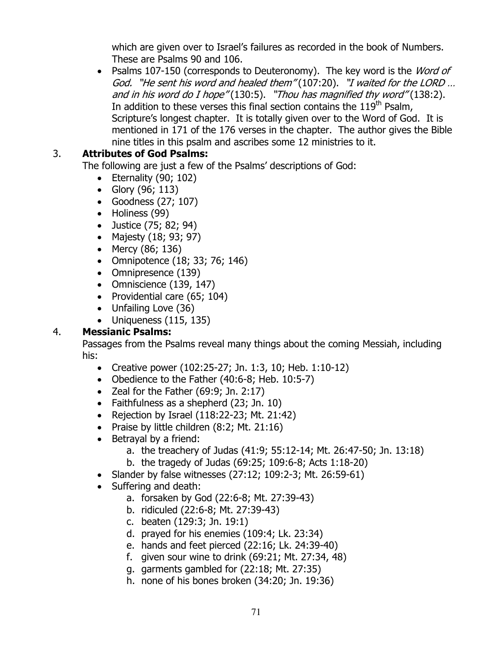which are given over to Israel's failures as recorded in the book of Numbers. These are Psalms 90 and 106.

• Psalms 107-150 (corresponds to Deuteronomy). The key word is the *Word of* God. "He sent his word and healed them" (107:20). "I waited for the LORD … and in his word do I hope"  $(130.5)$ . "Thou has magnified thy word"  $(138.2)$ . In addition to these verses this final section contains the  $119<sup>th</sup>$  Psalm, Scripture's longest chapter. It is totally given over to the Word of God. It is mentioned in 171 of the 176 verses in the chapter. The author gives the Bible nine titles in this psalm and ascribes some 12 ministries to it.

#### 3. Attributes of God Psalms:

The following are just a few of the Psalms' descriptions of God:

- Eternality  $(90; 102)$
- Glory (96; 113)
- Goodness (27; 107)
- Holiness (99)
- Justice (75; 82; 94)
- Majesty (18; 93; 97)
- Mercy (86; 136)
- Omnipotence (18; 33; 76; 146)
- Omnipresence (139)
- Omniscience (139, 147)
- Providential care (65; 104)
- Unfailing Love (36)
- Uniqueness  $(115, 135)$

# 4. Messianic Psalms:

 Passages from the Psalms reveal many things about the coming Messiah, including his:

- Creative power (102:25-27; Jn. 1:3, 10; Heb. 1:10-12)
- Obedience to the Father (40:6-8; Heb. 10:5-7)
- Zeal for the Father  $(69:9; \text{ Jn. } 2:17)$
- Faithfulness as a shepherd (23; Jn. 10)
- Rejection by Israel (118:22-23; Mt. 21:42)
- Praise by little children (8:2; Mt. 21:16)
- Betrayal by a friend:
	- a. the treachery of Judas (41:9; 55:12-14; Mt. 26:47-50; Jn. 13:18)
	- b. the tragedy of Judas (69:25; 109:6-8; Acts 1:18-20)
- Slander by false witnesses (27:12; 109:2-3; Mt. 26:59-61)
- Suffering and death:
	- a. forsaken by God (22:6-8; Mt. 27:39-43)
	- b. ridiculed (22:6-8; Mt. 27:39-43)
	- c. beaten (129:3; Jn. 19:1)
	- d. prayed for his enemies (109:4; Lk. 23:34)
	- e. hands and feet pierced (22:16; Lk. 24:39-40)
	- f. given sour wine to drink (69:21; Mt. 27:34, 48)
	- g. garments gambled for (22:18; Mt. 27:35)
	- h. none of his bones broken (34:20; Jn. 19:36)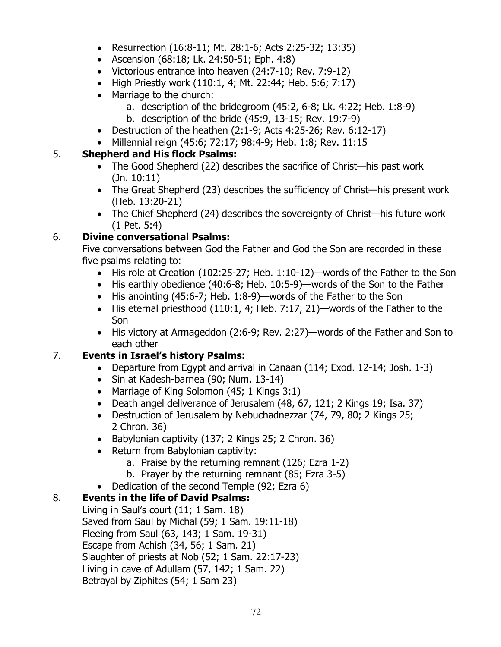- Resurrection (16:8-11; Mt. 28:1-6; Acts 2:25-32; 13:35)
- Ascension (68:18; Lk. 24:50-51; Eph. 4:8)
- Victorious entrance into heaven (24:7-10; Rev. 7:9-12)
- High Priestly work (110:1, 4; Mt. 22:44; Heb. 5:6; 7:17)
- Marriage to the church:
	- a. description of the bridegroom (45:2, 6-8; Lk. 4:22; Heb. 1:8-9)
		- b. description of the bride (45:9, 13-15; Rev. 19:7-9)
- Destruction of the heathen  $(2:1-9;$  Acts  $4:25-26;$  Rev.  $6:12-17)$
- Millennial reign (45:6; 72:17; 98:4-9; Heb. 1:8; Rev. 11:15

#### 5. Shepherd and His flock Psalms:

- The Good Shepherd (22) describes the sacrifice of Christ—his past work (Jn. 10:11)
- The Great Shepherd (23) describes the sufficiency of Christ—his present work (Heb. 13:20-21)
- The Chief Shepherd (24) describes the sovereignty of Christ—his future work (1 Pet. 5:4)

### 6. Divine conversational Psalms:

Five conversations between God the Father and God the Son are recorded in these five psalms relating to:

- His role at Creation (102:25-27; Heb. 1:10-12)—words of the Father to the Son
- His earthly obedience (40:6-8; Heb. 10:5-9)—words of the Son to the Father
- His anointing (45:6-7; Heb. 1:8-9)—words of the Father to the Son
- His eternal priesthood (110:1, 4; Heb. 7:17, 21)—words of the Father to the Son
- His victory at Armageddon (2:6-9; Rev. 2:27)—words of the Father and Son to each other

# 7. Events in Israel's history Psalms:

- Departure from Egypt and arrival in Canaan (114; Exod. 12-14; Josh. 1-3)
- Sin at Kadesh-barnea (90; Num. 13-14)
- Marriage of King Solomon (45; 1 Kings 3:1)
- Death angel deliverance of Jerusalem (48, 67, 121; 2 Kings 19; Isa. 37)
- Destruction of Jerusalem by Nebuchadnezzar (74, 79, 80; 2 Kings 25; 2 Chron. 36)
- Babylonian captivity (137; 2 Kings 25; 2 Chron. 36)
- Return from Babylonian captivity:
	- a. Praise by the returning remnant (126; Ezra 1-2)
	- b. Prayer by the returning remnant (85; Ezra 3-5)
- Dedication of the second Temple (92; Ezra 6)

# 8. Events in the life of David Psalms:

 Living in Saul's court (11; 1 Sam. 18) Saved from Saul by Michal (59; 1 Sam. 19:11-18) Fleeing from Saul (63, 143; 1 Sam. 19-31) Escape from Achish (34, 56; 1 Sam. 21) Slaughter of priests at Nob (52; 1 Sam. 22:17-23) Living in cave of Adullam (57, 142; 1 Sam. 22) Betrayal by Ziphites (54; 1 Sam 23)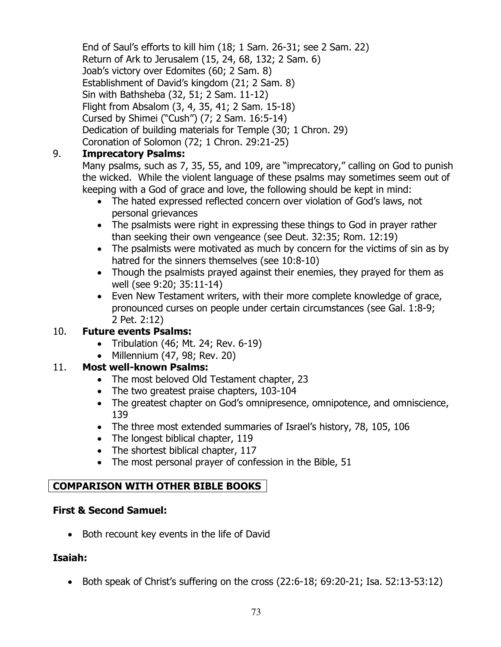End of Saul's efforts to kill him (18; 1 Sam. 26-31; see 2 Sam. 22) Return of Ark to Jerusalem (15, 24, 68, 132; 2 Sam. 6) Joab's victory over Edomites (60; 2 Sam. 8) Establishment of David's kingdom (21; 2 Sam. 8) Sin with Bathsheba (32, 51; 2 Sam. 11-12) Flight from Absalom (3, 4, 35, 41; 2 Sam. 15-18) Cursed by Shimei ("Cush") (7; 2 Sam. 16:5-14) Dedication of building materials for Temple (30; 1 Chron. 29) Coronation of Solomon (72; 1 Chron. 29:21-25)

#### 9. Imprecatory Psalms:

Many psalms, such as 7, 35, 55, and 109, are "imprecatory," calling on God to punish the wicked. While the violent language of these psalms may sometimes seem out of keeping with a God of grace and love, the following should be kept in mind:

- The hated expressed reflected concern over violation of God's laws, not personal grievances
- The psalmists were right in expressing these things to God in prayer rather than seeking their own vengeance (see Deut. 32:35; Rom. 12:19)
- The psalmists were motivated as much by concern for the victims of sin as by hatred for the sinners themselves (see 10:8-10)
- Though the psalmists prayed against their enemies, they prayed for them as well (see 9:20; 35:11-14)
- Even New Testament writers, with their more complete knowledge of grace, pronounced curses on people under certain circumstances (see Gal. 1:8-9; 2 Pet. 2:12)

# 10. Future events Psalms:

- Tribulation (46; Mt. 24; Rev. 6-19)
- Millennium (47, 98; Rev. 20)

#### 11. Most well-known Psalms:

- The most beloved Old Testament chapter, 23
- The two greatest praise chapters, 103-104
- The greatest chapter on God's omnipresence, omnipotence, and omniscience, 139
- The three most extended summaries of Israel's history, 78, 105, 106
- The longest biblical chapter, 119
- The shortest biblical chapter, 117
- The most personal prayer of confession in the Bible, 51

#### COMPARISON WITH OTHER BIBLE BOOKS

#### First & Second Samuel:

• Both recount key events in the life of David

#### Isaiah:

• Both speak of Christ's suffering on the cross  $(22:6-18; 69:20-21;$  Isa.  $52:13-53:12)$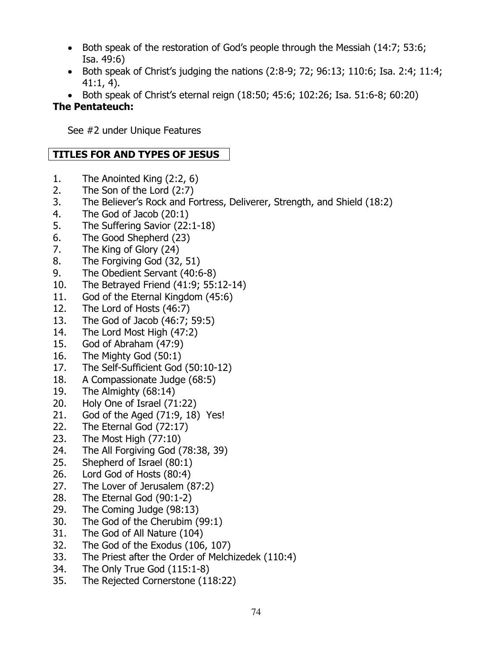- Both speak of the restoration of God's people through the Messiah (14:7; 53:6; Isa. 49:6)
- Both speak of Christ's judging the nations  $(2.8-9, 72, 96.13, 110.6,$  Isa. 2.4, 11.4; 41:1, 4).
- Both speak of Christ's eternal reign (18:50; 45:6; 102:26; Isa. 51:6-8; 60:20)

#### The Pentateuch:

See #2 under Unique Features

### TITLES FOR AND TYPES OF JESUS

- 1. The Anointed King (2:2, 6)
- 2. The Son of the Lord (2:7)
- 3. The Believer's Rock and Fortress, Deliverer, Strength, and Shield (18:2)
- 4. The God of Jacob (20:1)
- 5. The Suffering Savior (22:1-18)
- 6. The Good Shepherd (23)
- 7. The King of Glory (24)
- 8. The Forgiving God (32, 51)
- 9. The Obedient Servant (40:6-8)
- 10. The Betrayed Friend (41:9; 55:12-14)
- 11. God of the Eternal Kingdom (45:6)
- 12. The Lord of Hosts (46:7)
- 13. The God of Jacob (46:7; 59:5)
- 14. The Lord Most High (47:2)
- 15. God of Abraham (47:9)
- 16. The Mighty God (50:1)
- 17. The Self-Sufficient God (50:10-12)
- 18. A Compassionate Judge (68:5)
- 19. The Almighty (68:14)
- 20. Holy One of Israel (71:22)
- 21. God of the Aged (71:9, 18) Yes!
- 22. The Eternal God (72:17)
- 23. The Most High (77:10)
- 24. The All Forgiving God (78:38, 39)
- 25. Shepherd of Israel (80:1)
- 26. Lord God of Hosts (80:4)
- 27. The Lover of Jerusalem (87:2)
- 28. The Eternal God (90:1-2)
- 29. The Coming Judge (98:13)
- 30. The God of the Cherubim (99:1)
- 31. The God of All Nature (104)
- 32. The God of the Exodus (106, 107)
- 33. The Priest after the Order of Melchizedek (110:4)
- 34. The Only True God (115:1-8)
- 35. The Rejected Cornerstone (118:22)